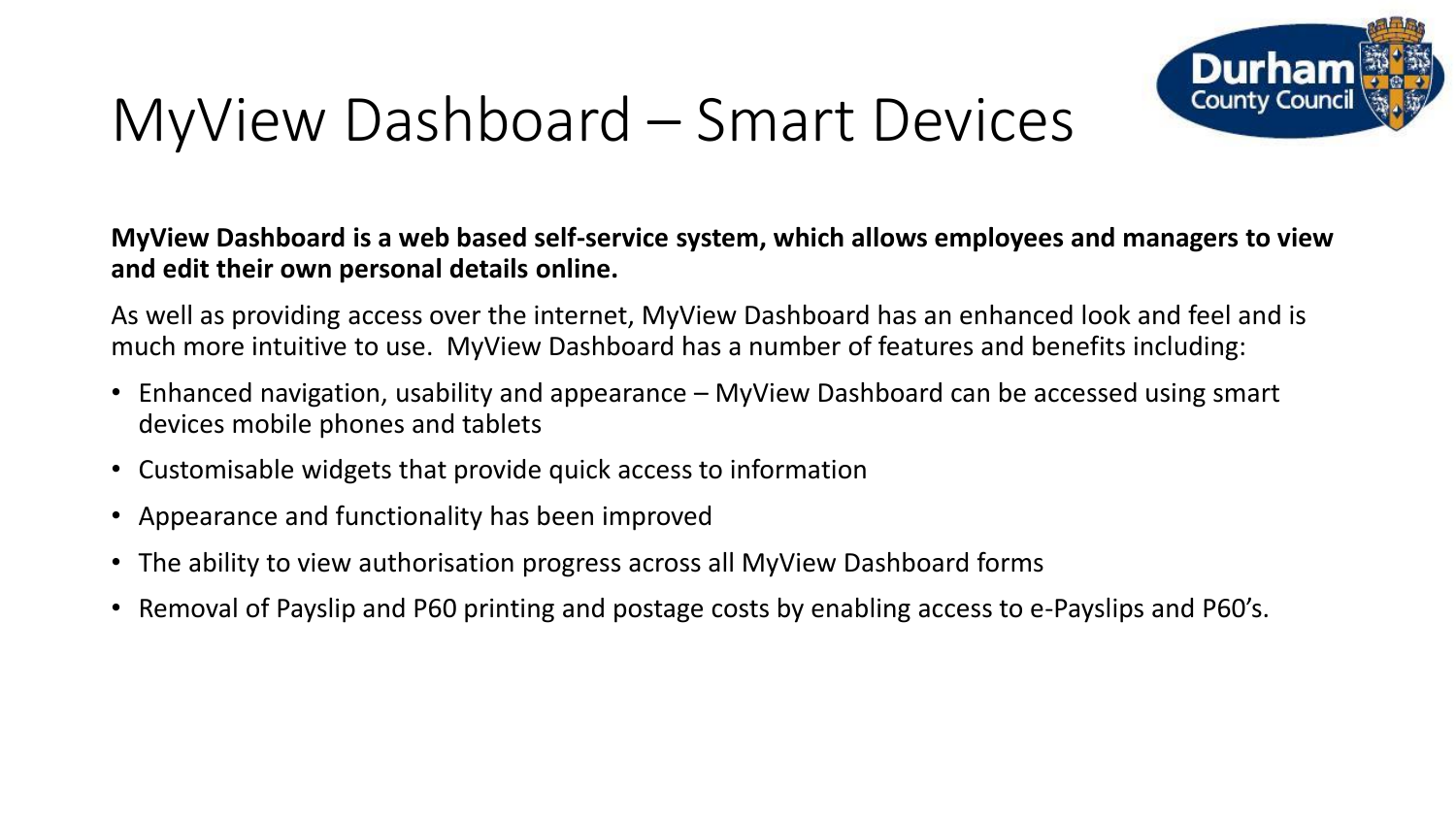

## MyView Dashboard – Smart Devices

**MyView Dashboard is a web based self-service system, which allows employees and managers to view and edit their own personal details online.**

As well as providing access over the internet, MyView Dashboard has an enhanced look and feel and is much more intuitive to use. MyView Dashboard has a number of features and benefits including:

- Enhanced navigation, usability and appearance MyView Dashboard can be accessed using smart devices mobile phones and tablets
- Customisable widgets that provide quick access to information
- Appearance and functionality has been improved
- The ability to view authorisation progress across all MyView Dashboard forms
- Removal of Payslip and P60 printing and postage costs by enabling access to e-Payslips and P60's.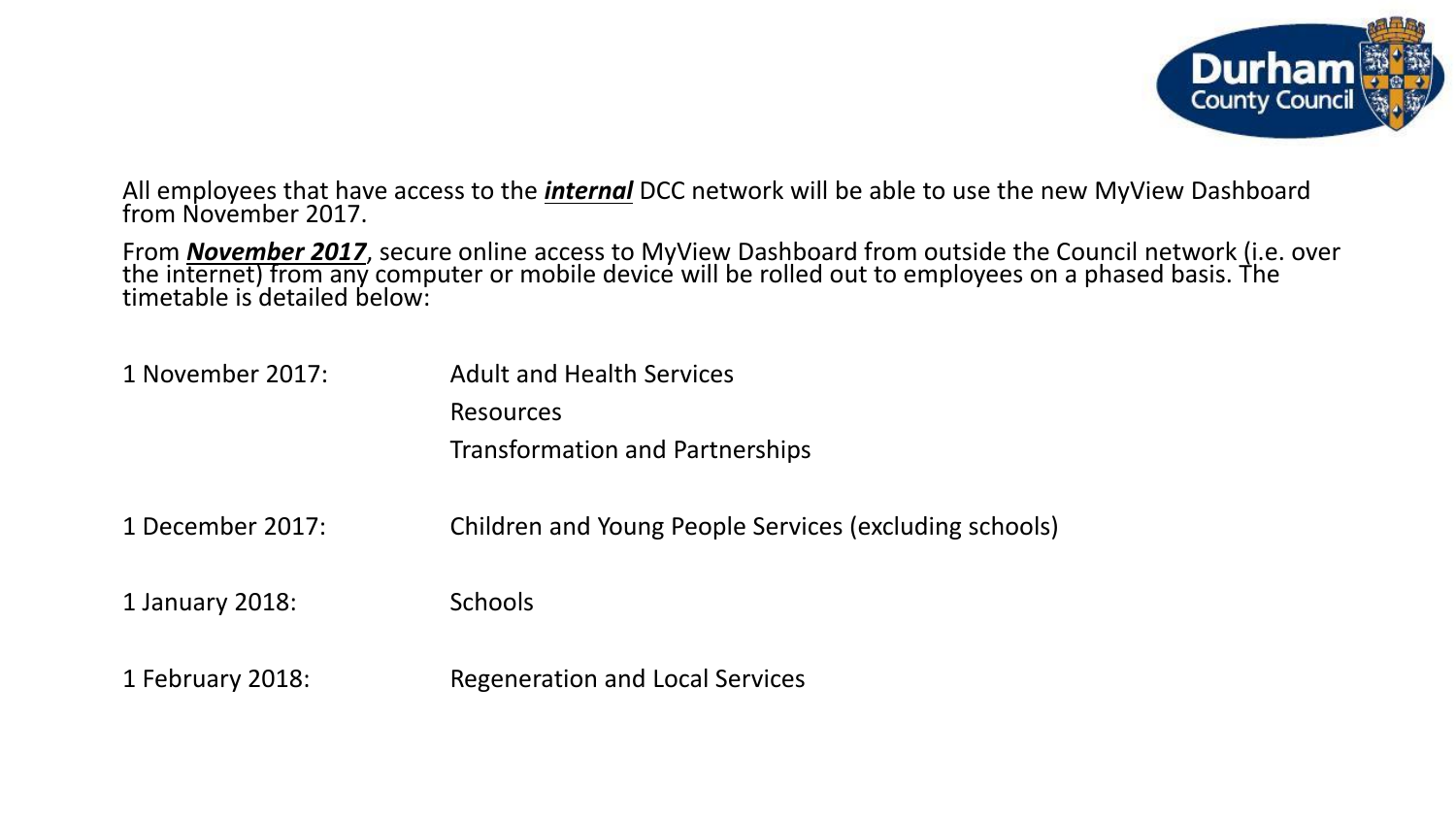

All employees that have access to the *internal* DCC network will be able to use the new MyView Dashboard from November 2017.

From *November 2017*, secure online access to MyView Dashboard from outside the Council network (i.e. over the internet) from any computer or mobile device will be rolled out to employees on a phased basis. The timetable is detailed below:

| 1 November 2017: | <b>Adult and Health Services</b><br><b>Resources</b><br><b>Transformation and Partnerships</b> |
|------------------|------------------------------------------------------------------------------------------------|
| 1 December 2017: | Children and Young People Services (excluding schools)                                         |
| 1 January 2018:  | <b>Schools</b>                                                                                 |
| 1 February 2018: | <b>Regeneration and Local Services</b>                                                         |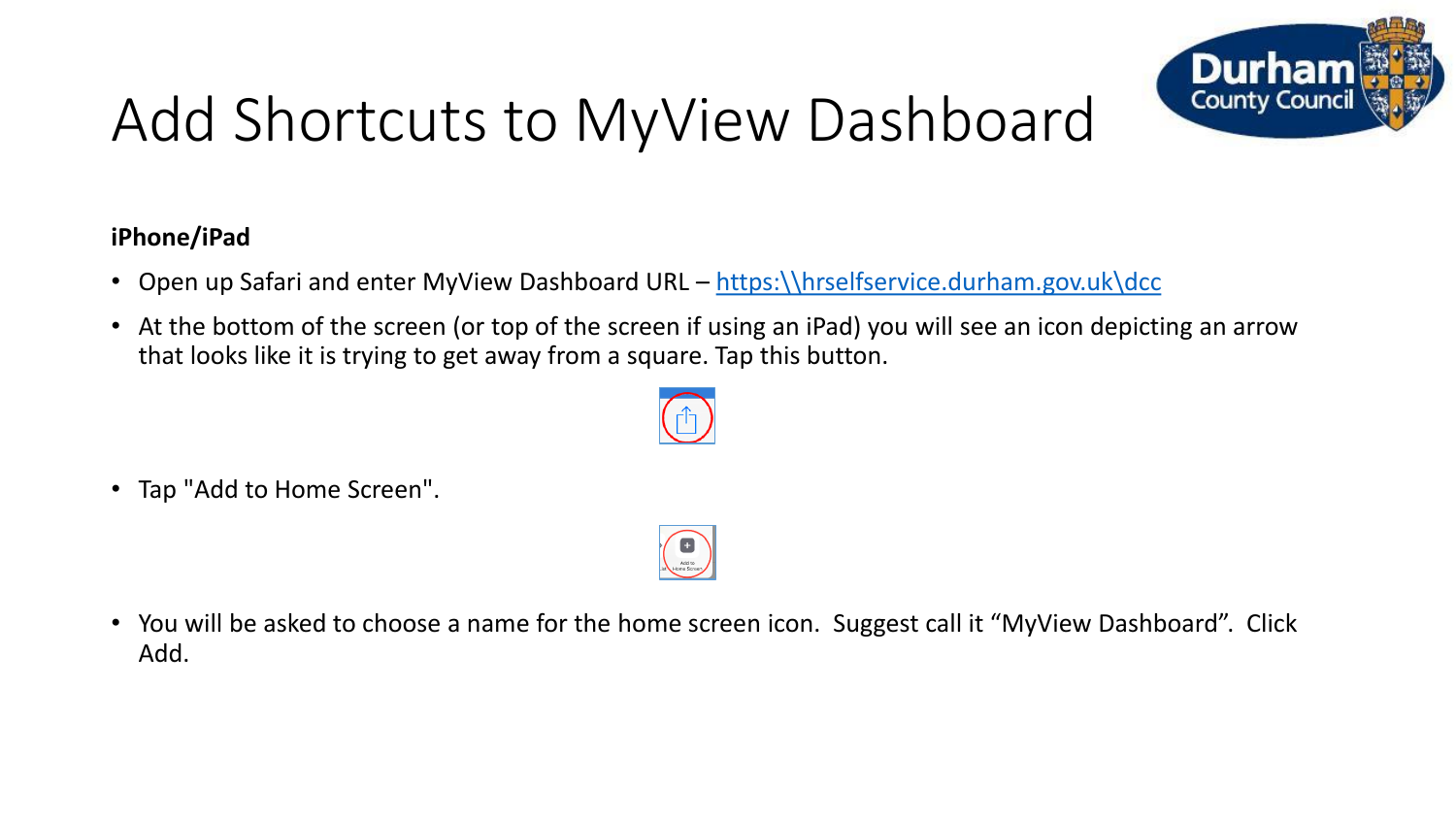

# Add Shortcuts to MyView Dashboard

### **iPhone/iPad**

- Open up Safari and enter MyView Dashboard URL https: \\hrselfservice.durham.gov.uk\dcc
- At the bottom of the screen (or top of the screen if using an iPad) you will see an icon depicting an arrow that looks like it is trying to get away from a square. Tap this button.



• Tap "Add to Home Screen".



• You will be asked to choose a name for the home screen icon. Suggest call it "MyView Dashboard". Click Add.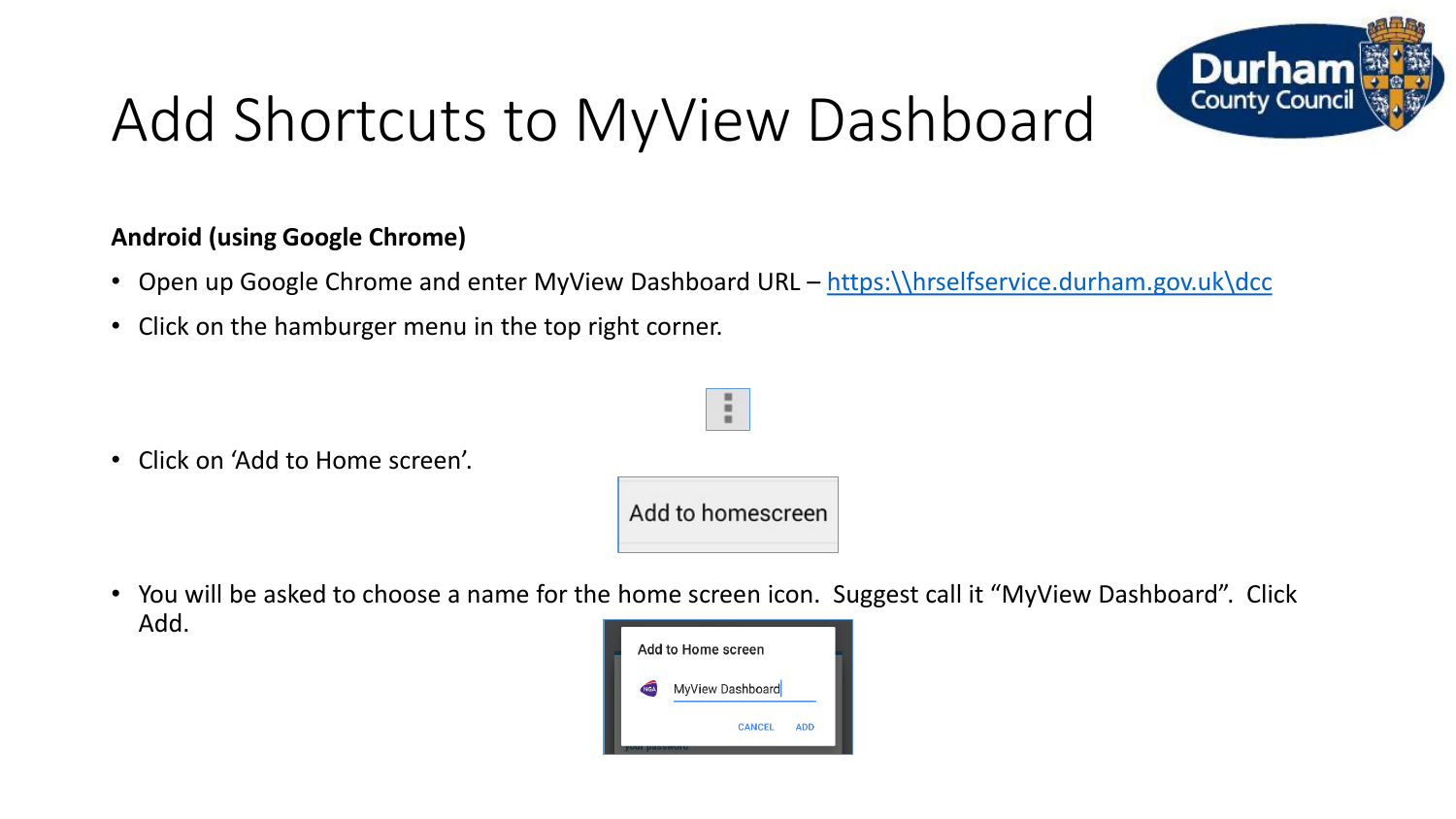

## Add Shortcuts to MyView Dashboard

#### **Android (using Google Chrome)**

- Open up Google Chrome and enter MyView Dashboard URL https: \\hrselfservice.durham.gov.uk\dcc
- Click on the hamburger menu in the top right corner.

• Click on 'Add to Home screen'.

Add to homescreen

÷

• You will be asked to choose a name for the home screen icon. Suggest call it "MyView Dashboard". Click Add.